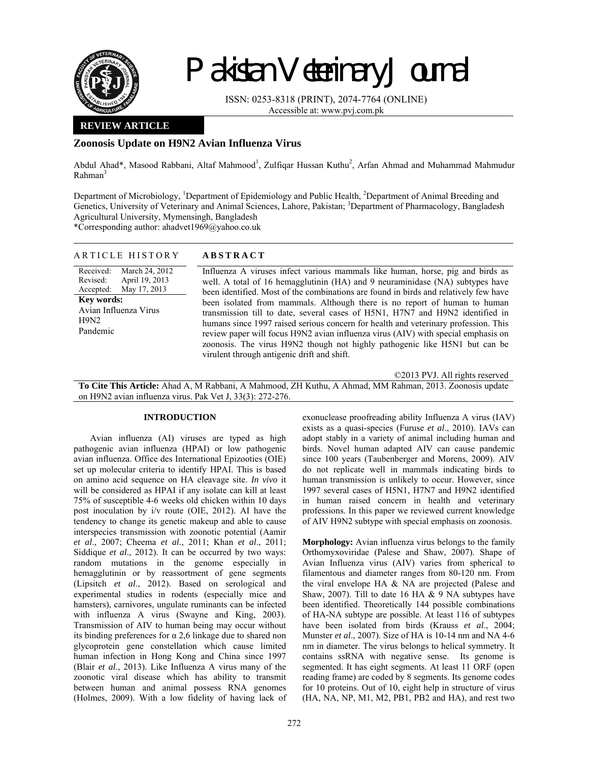

# Pakistan Veterinary Journal

ISSN: 0253-8318 (PRINT), 2074-7764 (ONLINE) Accessible at: www.pvj.com.pk

## **REVIEW ARTICLE**

## **Zoonosis Update on H9N2 Avian Influenza Virus**

Abdul Ahad\*, Masood Rabbani, Altaf Mahmood<sup>1</sup>, Zulfiqar Hussan Kuthu<sup>2</sup>, Arfan Ahmad and Muhammad Mahmudur Rahman<sup>3</sup>

Department of Microbiology, <sup>1</sup>Department of Epidemiology and Public Health, <sup>2</sup>Department of Animal Breeding and Genetics, University of Veterinary and Animal Sciences, Lahore, Pakistan; <sup>3</sup>Department of Pharmacology, Bangladesh Agricultural University, Mymensingh, Bangladesh

\*Corresponding author: ahadvet1969@yahoo.co.uk

| ARTICLE HISTORY                                                                                                                                          | <b>ABSTRACT</b>                                                                                                                                                                                                                                                                                                                                                                                                                                                                                                                                                                                                                                                                                                                |
|----------------------------------------------------------------------------------------------------------------------------------------------------------|--------------------------------------------------------------------------------------------------------------------------------------------------------------------------------------------------------------------------------------------------------------------------------------------------------------------------------------------------------------------------------------------------------------------------------------------------------------------------------------------------------------------------------------------------------------------------------------------------------------------------------------------------------------------------------------------------------------------------------|
| Received:<br>March 24, 2012<br>Revised:<br>April 19, 2013<br>Accepted:<br>May 17, 2013<br><b>Key words:</b><br>Avian Influenza Virus<br>H9N2<br>Pandemic | Influenza A viruses infect various mammals like human, horse, pig and birds as<br>well. A total of 16 hemagglutinin (HA) and 9 neuraminidase (NA) subtypes have<br>been identified. Most of the combinations are found in birds and relatively few have<br>been isolated from mammals. Although there is no report of human to human<br>transmission till to date, several cases of H5N1, H7N7 and H9N2 identified in<br>humans since 1997 raised serious concern for health and veterinary profession. This<br>review paper will focus H9N2 avian influenza virus (AIV) with special emphasis on<br>zoonosis. The virus H9N2 though not highly pathogenic like H5N1 but can be<br>virulent through antigenic drift and shift. |
|                                                                                                                                                          | ©2013 PVJ. All rights reserved                                                                                                                                                                                                                                                                                                                                                                                                                                                                                                                                                                                                                                                                                                 |

**To Cite This Article:** Ahad A, M Rabbani, A Mahmood, ZH Kuthu, A Ahmad, MM Rahman, 2013. Zoonosis update on H9N2 avian influenza virus. Pak Vet J, 33(3): 272-276.

#### **INTRODUCTION**

Avian influenza (AI) viruses are typed as high pathogenic avian influenza (HPAI) or low pathogenic avian influenza. Office des International Epizooties (OIE) set up molecular criteria to identify HPAI. This is based on amino acid sequence on HA cleavage site. *In vivo* it will be considered as HPAI if any isolate can kill at least 75% of susceptible 4-6 weeks old chicken within 10 days post inoculation by i/v route (OIE, 2012). AI have the tendency to change its genetic makeup and able to cause interspecies transmission with zoonotic potential (Aamir *et al*., 2007; Cheema *et al*., 2011; Khan *et al*., 2011; Siddique *et al*., 2012). It can be occurred by two ways: random mutations in the genome especially in hemagglutinin or by reassortment of gene segments (Lipsitch *et al*., 2012). Based on serological and experimental studies in rodents (especially mice and hamsters), carnivores, ungulate ruminants can be infected with influenza A virus (Swayne and King, 2003). Transmission of AIV to human being may occur without its binding preferences for  $\alpha$  2,6 linkage due to shared non glycoprotein gene constellation which cause limited human infection in Hong Kong and China since 1997 (Blair *et al*., 2013). Like Influenza A virus many of the zoonotic viral disease which has ability to transmit between human and animal possess RNA genomes (Holmes, 2009). With a low fidelity of having lack of exonuclease proofreading ability Influenza A virus (IAV) exists as a quasi-species (Furuse *et al*., 2010). IAVs can adopt stably in a variety of animal including human and birds. Novel human adapted AIV can cause pandemic since 100 years (Taubenberger and Morens, 2009). AIV do not replicate well in mammals indicating birds to human transmission is unlikely to occur. However, since 1997 several cases of H5N1, H7N7 and H9N2 identified in human raised concern in health and veterinary professions. In this paper we reviewed current knowledge of AIV H9N2 subtype with special emphasis on zoonosis.

**Morphology:** Avian influenza virus belongs to the family Orthomyxoviridae (Palese and Shaw, 2007). Shape of Avian Influenza virus (AIV) varies from spherical to filamentous and diameter ranges from 80-120 nm. From the viral envelope HA & NA are projected (Palese and Shaw, 2007). Till to date 16 HA & 9 NA subtypes have been identified. Theoretically 144 possible combinations of HA-NA subtype are possible. At least 116 of subtypes have been isolated from birds (Krauss *et al*., 2004; Munster *et al*., 2007). Size of HA is 10-14 nm and NA 4-6 nm in diameter. The virus belongs to helical symmetry. It contains ssRNA with negative sense. Its genome is segmented. It has eight segments. At least 11 ORF (open reading frame) are coded by 8 segments. Its genome codes for 10 proteins. Out of 10, eight help in structure of virus (HA, NA, NP, M1, M2, PB1, PB2 and HA), and rest two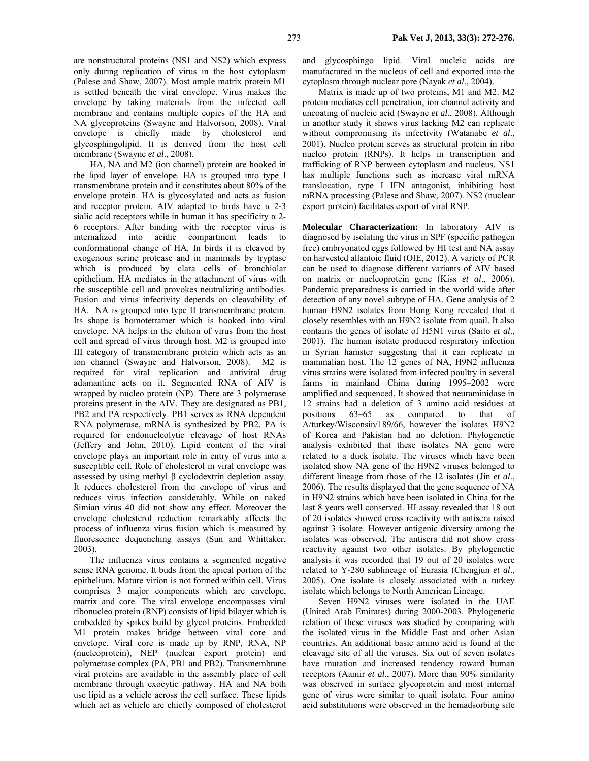are nonstructural proteins (NS1 and NS2) which express only during replication of virus in the host cytoplasm (Palese and Shaw, 2007). Most ample matrix protein M1 is settled beneath the viral envelope. Virus makes the envelope by taking materials from the infected cell membrane and contains multiple copies of the HA and NA glycoproteins (Swayne and Halvorson, 2008). Viral envelope is chiefly made by cholesterol and glycosphingolipid. It is derived from the host cell membrane (Swayne *et al*., 2008).

HA, NA and M2 (ion channel) protein are hooked in the lipid layer of envelope. HA is grouped into type I transmembrane protein and it constitutes about 80% of the envelope protein. HA is glycosylated and acts as fusion and receptor protein. AIV adapted to birds have  $\alpha$  2-3 sialic acid receptors while in human it has specificity  $\alpha$  2-6 receptors. After binding with the receptor virus is internalized into acidic compartment leads to conformational change of HA. In birds it is cleaved by exogenous serine protease and in mammals by tryptase which is produced by clara cells of bronchiolar epithelium. HA mediates in the attachment of virus with the susceptible cell and provokes neutralizing antibodies. Fusion and virus infectivity depends on cleavability of HA. NA is grouped into type II transmembrane protein. Its shape is homotetramer which is hooked into viral envelope. NA helps in the elution of virus from the host cell and spread of virus through host. M2 is grouped into III category of transmembrane protein which acts as an ion channel (Swayne and Halvorson, 2008). M2 is required for viral replication and antiviral drug adamantine acts on it. Segmented RNA of AIV is wrapped by nucleo protein (NP). There are 3 polymerase proteins present in the AIV. They are designated as PB1, PB2 and PA respectively. PB1 serves as RNA dependent RNA polymerase, mRNA is synthesized by PB2. PA is required for endonucleolytic cleavage of host RNAs (Jeffery and John, 2010). Lipid content of the viral envelope plays an important role in entry of virus into a susceptible cell. Role of cholesterol in viral envelope was assessed by using methyl β cyclodextrin depletion assay. It reduces cholesterol from the envelope of virus and reduces virus infection considerably. While on naked Simian virus 40 did not show any effect. Moreover the envelope cholesterol reduction remarkably affects the process of influenza virus fusion which is measured by fluorescence dequenching assays (Sun and Whittaker, 2003).

The influenza virus contains a segmented negative sense RNA genome. It buds from the apical portion of the epithelium. Mature virion is not formed within cell. Virus comprises 3 major components which are envelope, matrix and core. The viral envelope encompasses viral ribonucleo protein (RNP) consists of lipid bilayer which is embedded by spikes build by glycol proteins. Embedded M1 protein makes bridge between viral core and envelope. Viral core is made up by RNP, RNA, NP (nucleoprotein), NEP (nuclear export protein) and polymerase complex (PA, PB1 and PB2). Transmembrane viral proteins are available in the assembly place of cell membrane through exocytic pathway. HA and NA both use lipid as a vehicle across the cell surface. These lipids which act as vehicle are chiefly composed of cholesterol

and glycosphingo lipid. Viral nucleic acids are manufactured in the nucleus of cell and exported into the cytoplasm through nuclear pore (Nayak *et al*., 2004).

Matrix is made up of two proteins, M1 and M2. M2 protein mediates cell penetration, ion channel activity and uncoating of nucleic acid (Swayne *et al*., 2008). Although in another study it shows virus lacking M2 can replicate without compromising its infectivity (Watanabe *et al*., 2001). Nucleo protein serves as structural protein in ribo nucleo protein (RNPs). It helps in transcription and trafficking of RNP between cytoplasm and nucleus. NS1 has multiple functions such as increase viral mRNA translocation, type I IFN antagonist, inhibiting host mRNA processing (Palese and Shaw, 2007). NS2 (nuclear export protein) facilitates export of viral RNP.

**Molecular Characterization:** In laboratory AIV is diagnosed by isolating the virus in SPF (specific pathogen free) embryonated eggs followed by HI test and NA assay on harvested allantoic fluid (OIE, 2012). A variety of PCR can be used to diagnose different variants of AIV based on matrix or nucleoprotein gene (Kiss *et al*., 2006). Pandemic preparedness is carried in the world wide after detection of any novel subtype of HA. Gene analysis of 2 human H9N2 isolates from Hong Kong revealed that it closely resembles with an H9N2 isolate from quail. It also contains the genes of isolate of H5N1 virus (Saito *et al*., 2001). The human isolate produced respiratory infection in Syrian hamster suggesting that it can replicate in mammalian host. The 12 genes of NA, H9N2 influenza virus strains were isolated from infected poultry in several farms in mainland China during 1995–2002 were amplified and sequenced. It showed that neuraminidase in 12 strains had a deletion of 3 amino acid residues at positions 63–65 as compared to that of A/turkey/Wisconsin/189/66, however the isolates H9N2 of Korea and Pakistan had no deletion. Phylogenetic analysis exhibited that these isolates NA gene were related to a duck isolate. The viruses which have been isolated show NA gene of the H9N2 viruses belonged to different lineage from those of the 12 isolates (Jin *et al*., 2006). The results displayed that the gene sequence of NA in H9N2 strains which have been isolated in China for the last 8 years well conserved. HI assay revealed that 18 out of 20 isolates showed cross reactivity with antisera raised against 3 isolate. However antigenic diversity among the isolates was observed. The antisera did not show cross reactivity against two other isolates. By phylogenetic analysis it was recorded that 19 out of 20 isolates were related to Y-280 sublineage of Eurasia (Chengjun *et al*., 2005). One isolate is closely associated with a turkey isolate which belongs to North American Lineage.

Seven H9N2 viruses were isolated in the UAE (United Arab Emirates) during 2000-2003. Phylogenetic relation of these viruses was studied by comparing with the isolated virus in the Middle East and other Asian countries. An additional basic amino acid is found at the cleavage site of all the viruses. Six out of seven isolates have mutation and increased tendency toward human receptors (Aamir *et al*., 2007). More than 90% similarity was observed in surface glycoprotein and most internal gene of virus were similar to quail isolate. Four amino acid substitutions were observed in the hemadsorbing site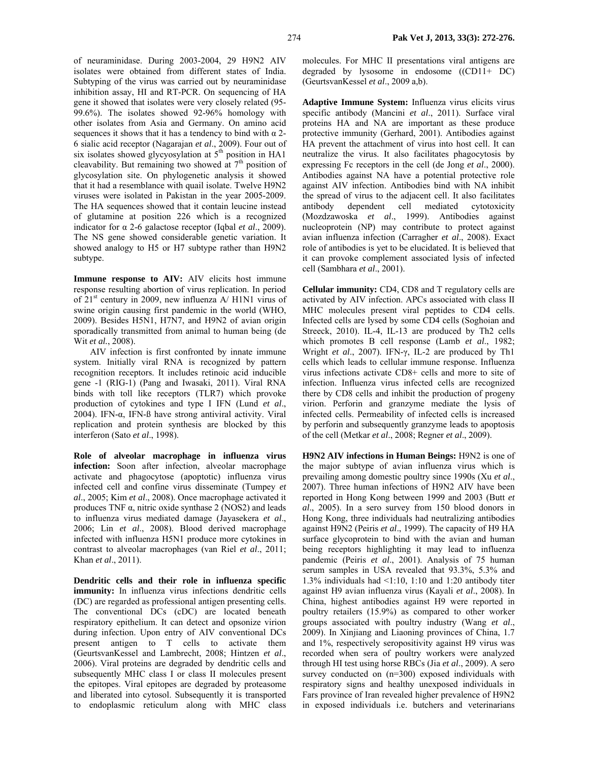of neuraminidase. During 2003-2004, 29 H9N2 AIV isolates were obtained from different states of India. Subtyping of the virus was carried out by neuraminidase inhibition assay, HI and RT-PCR. On sequencing of HA gene it showed that isolates were very closely related (95- 99.6%). The isolates showed 92-96% homology with other isolates from Asia and Germany. On amino acid sequences it shows that it has a tendency to bind with  $\alpha$  2-6 sialic acid receptor (Nagarajan *et al*., 2009). Four out of six isolates showed glycyosylation at  $5<sup>th</sup>$  position in HA1 cleavability. But remaining two showed at  $7<sup>th</sup>$  position of glycosylation site. On phylogenetic analysis it showed that it had a resemblance with quail isolate. Twelve H9N2 viruses were isolated in Pakistan in the year 2005-2009. The HA sequences showed that it contain leucine instead of glutamine at position 226 which is a recognized indicator for α 2-6 galactose receptor (Iqbal *et al*., 2009). The NS gene showed considerable genetic variation. It showed analogy to H5 or H7 subtype rather than H9N2 subtype.

**Immune response to AIV:** AIV elicits host immune response resulting abortion of virus replication. In period of 21st century in 2009, new influenza A/ H1N1 virus of swine origin causing first pandemic in the world (WHO, 2009). Besides H5N1, H7N7, and H9N2 of avian origin sporadically transmitted from animal to human being (de Wit *et al.*, 2008).

AIV infection is first confronted by innate immune system. Initially viral RNA is recognized by pattern recognition receptors. It includes retinoic acid inducible gene -1 (RIG-1) (Pang and Iwasaki, 2011). Viral RNA binds with toll like receptors (TLR7) which provoke production of cytokines and type I IFN (Lund *et al*., 2004). IFN-α, IFN-ß have strong antiviral activity. Viral replication and protein synthesis are blocked by this interferon (Sato *et al*., 1998).

**Role of alveolar macrophage in influenza virus infection:** Soon after infection, alveolar macrophage activate and phagocytose (apoptotic) influenza virus infected cell and confine virus disseminate (Tumpey *et al*., 2005; Kim *et al*., 2008). Once macrophage activated it produces TNF α, nitric oxide synthase 2 (NOS2) and leads to influenza virus mediated damage (Jayasekera *et al*., 2006; Lin *et al*., 2008). Blood derived macrophage infected with influenza H5N1 produce more cytokines in contrast to alveolar macrophages (van Riel *et al*., 2011; Khan *et al*., 2011).

**Dendritic cells and their role in influenza specific immunity:** In influenza virus infections dendritic cells (DC) are regarded as professional antigen presenting cells. The conventional DCs (cDC) are located beneath respiratory epithelium. It can detect and opsonize virion during infection. Upon entry of AIV conventional DCs present antigen to T cells to activate them (GeurtsvanKessel and Lambrecht, 2008; Hintzen *et al*., 2006). Viral proteins are degraded by dendritic cells and subsequently MHC class I or class II molecules present the epitopes. Viral epitopes are degraded by proteasome and liberated into cytosol. Subsequently it is transported to endoplasmic reticulum along with MHC class

molecules. For MHC II presentations viral antigens are degraded by lysosome in endosome ((CD11+ DC) (GeurtsvanKessel *et al*., 2009 a,b).

**Adaptive Immune System:** Influenza virus elicits virus specific antibody (Mancini *et al*., 2011). Surface viral proteins HA and NA are important as these produce protective immunity (Gerhard, 2001). Antibodies against HA prevent the attachment of virus into host cell. It can neutralize the virus. It also facilitates phagocytosis by expressing Fc receptors in the cell (de Jong *et al*., 2000). Antibodies against NA have a potential protective role against AIV infection. Antibodies bind with NA inhibit the spread of virus to the adjacent cell. It also facilitates antibody dependent cell mediated cytotoxicity antibody dependent cell mediated (Mozdzawoska *et al*., 1999). Antibodies against nucleoprotein (NP) may contribute to protect against avian influenza infection (Carragher *et al*., 2008). Exact role of antibodies is yet to be elucidated. It is believed that it can provoke complement associated lysis of infected cell (Sambhara *et al*., 2001).

**Cellular immunity:** CD4, CD8 and T regulatory cells are activated by AIV infection. APCs associated with class II MHC molecules present viral peptides to CD4 cells. Infected cells are lysed by some CD4 cells (Soghoian and Streeck, 2010). IL-4, IL-13 are produced by Th2 cells which promotes B cell response (Lamb *et al*., 1982; Wright *et al*., 2007). IFN-γ, IL-2 are produced by Th1 cells which leads to cellular immune response. Influenza virus infections activate CD8+ cells and more to site of infection. Influenza virus infected cells are recognized there by CD8 cells and inhibit the production of progeny virion. Perforin and granzyme mediate the lysis of infected cells. Permeability of infected cells is increased by perforin and subsequently granzyme leads to apoptosis of the cell (Metkar *et al*., 2008; Regner *et al*., 2009).

**H9N2 AIV infections in Human Beings:** H9N2 is one of the major subtype of avian influenza virus which is prevailing among domestic poultry since 1990s (Xu *et al*., 2007). Three human infections of H9N2 AIV have been reported in Hong Kong between 1999 and 2003 (Butt *et al*., 2005). In a sero survey from 150 blood donors in Hong Kong, three individuals had neutralizing antibodies against H9N2 (Peiris *et al*., 1999). The capacity of H9 HA surface glycoprotein to bind with the avian and human being receptors highlighting it may lead to influenza pandemic (Peiris *et al*., 2001). Analysis of 75 human serum samples in USA revealed that 93.3%, 5.3% and 1.3% individuals had <1:10, 1:10 and 1:20 antibody titer against H9 avian influenza virus (Kayali *et al*., 2008). In China, highest antibodies against H9 were reported in poultry retailers (15.9%) as compared to other worker groups associated with poultry industry (Wang *et al*., 2009). In Xinjiang and Liaoning provinces of China, 1.7 and 1%, respectively seropositivity against H9 virus was recorded when sera of poultry workers were analyzed through HI test using horse RBCs (Jia *et al*., 2009). A sero survey conducted on (n=300) exposed individuals with respiratory signs and healthy unexposed individuals in Fars province of Iran revealed higher prevalence of H9N2 in exposed individuals i.e. butchers and veterinarians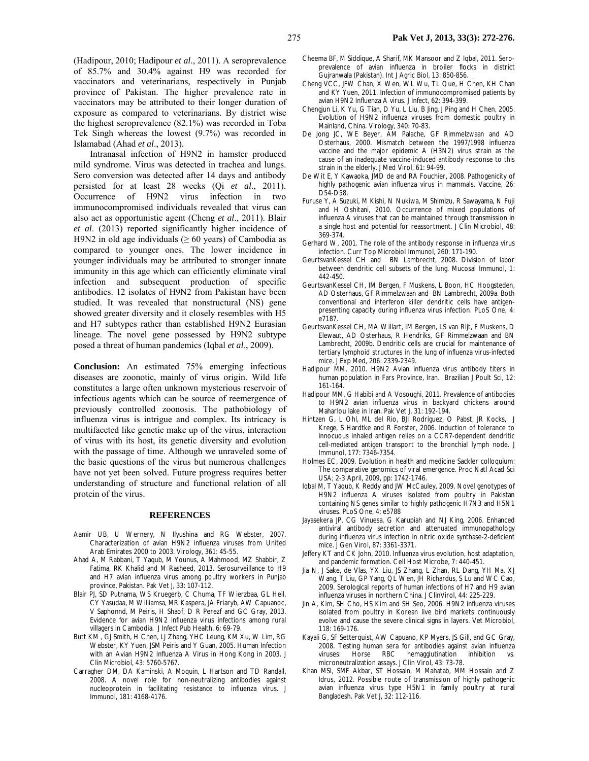(Hadipour, 2010; Hadipour *et al*., 2011). A seroprevalence of 85.7% and 30.4% against H9 was recorded for vaccinators and veterinarians, respectively in Punjab province of Pakistan. The higher prevalence rate in vaccinators may be attributed to their longer duration of exposure as compared to veterinarians. By district wise the highest seroprevalence (82.1%) was recorded in Toba Tek Singh whereas the lowest (9.7%) was recorded in Islamabad (Ahad *et al*., 2013).

Intranasal infection of H9N2 in hamster produced mild syndrome. Virus was detected in trachea and lungs. Sero conversion was detected after 14 days and antibody persisted for at least 28 weeks (Qi *et al*., 2011). Occurrence of H9N2 virus infection in two immunocompromised individuals revealed that virus can also act as opportunistic agent (Cheng *et al*., 2011). Blair *et al*. (2013) reported significantly higher incidence of H9N2 in old age individuals ( $\geq 60$  years) of Cambodia as compared to younger ones. The lower incidence in younger individuals may be attributed to stronger innate immunity in this age which can efficiently eliminate viral infection and subsequent production of specific antibodies. 12 isolates of H9N2 from Pakistan have been studied. It was revealed that nonstructural (NS) gene showed greater diversity and it closely resembles with H5 and H7 subtypes rather than established H9N2 Eurasian lineage. The novel gene possessed by H9N2 subtype posed a threat of human pandemics (Iqbal *et al*., 2009).

**Conclusion:** An estimated 75% emerging infectious diseases are zoonotic, mainly of virus origin. Wild life constitutes a large often unknown mysterious reservoir of infectious agents which can be source of reemergence of previously controlled zoonosis. The pathobiology of influenza virus is intrigue and complex. Its intricacy is multifaceted like genetic make up of the virus, interaction of virus with its host, its genetic diversity and evolution with the passage of time. Although we unraveled some of the basic questions of the virus but numerous challenges have not yet been solved. Future progress requires better understanding of structure and functional relation of all protein of the virus.

#### **REFERENCES**

- Aamir UB, U Wernery, N Ilyushina and RG Webster, 2007. Characterization of avian H9N2 influenza viruses from United Arab Emirates 2000 to 2003. Virology, 361: 45-55.
- Ahad A, M Rabbani, T Yaqub, M Younus, A Mahmood, MZ Shabbir, Z Fatima, RK Khalid and M Rasheed, 2013. Serosurveillance to H9 and H7 avian influenza virus among poultry workers in Punjab province, Pakistan. Pak Vet J, 33: 107-112.
- Blair PJ, SD Putnama, WS Kruegerb, C Chuma, TF Wierzbaa, GL Heil, CY Yasudaa, M Williamsa, MR Kaspera, JA Friaryb, AW Capuanoc, V Saphonnd, M Peiris, H Shaof, D R Perezf and GC Gray, 2013. Evidence for avian H9N2 influenza virus infections among rural villagers in Cambodia. J Infect Pub Health, 6: 69-79.
- Butt KM , GJ Smith, H Chen, LJ Zhang, YHC Leung, KM Xu, W Lim, RG Webster, KY Yuen, JSM Peiris and Y Guan, 2005. Human Infection with an Avian H9N2 Influenza A Virus in Hong Kong in 2003. J Clin Microbiol, 43: 5760-5767.
- Carragher DM, DA Kaminski, A Moquin, L Hartson and TD Randall, 2008. A novel role for non-neutralizing antibodies against nucleoprotein in facilitating resistance to influenza virus. J Immunol, 181: 4168-4176.
- Cheema BF, M Siddique, A Sharif, MK Mansoor and Z Iqbal, 2011. Seroprevalence of avian influenza in broiler flocks in district Gujranwala (Pakistan). Int J Agric Biol, 13: 850-856.
- Cheng VCC, JFW Chan, X Wen, WL Wu, TL Que, H Chen, KH Chan and KY Yuen, 2011. Infection of immunocompromised patients by avian H9N2 Influenza A virus. J Infect, 62: 394-399.
- Chengjun Li, K Yu, G Tian, D Yu, L Liu, B Jing, J Ping and H Chen, 2005. Evolution of H9N2 influenza viruses from domestic poultry in Mainland, China. Virology, 340: 70-83.
- De Jong JC, WE Beyer, AM Palache, GF Rimmelzwaan and AD Osterhaus, 2000. Mismatch between the 1997/1998 influenza vaccine and the major epidemic A (H3N2) virus strain as the cause of an inadequate vaccine-induced antibody response to this strain in the elderly. J Med Virol, 61: 94-99.
- De Wit E, Y Kawaoka, JMD de and RA Fouchier, 2008. Pathogenicity of highly pathogenic avian influenza virus in mammals. Vaccine, 26: D54-D58.
- Furuse Y, A Suzuki, M Kishi, N Nukiwa, M Shimizu, R Sawayama, N Fuji and H Oshitani, 2010. Occurrence of mixed populations of influenza A viruses that can be maintained through transmission in a single host and potential for reassortment. J Clin Microbiol, 48: 369-374.
- Gerhard W, 2001. The role of the antibody response in influenza virus infection. Curr Top Microbiol Immunol, 260: 171-190.
- GeurtsvanKessel CH and BN Lambrecht, 2008. Division of labor between dendritic cell subsets of the lung. Mucosal Immunol, 1: 442-450.
- GeurtsvanKessel CH, IM Bergen, F Muskens, L Boon, HC Hoogsteden, AD Osterhaus, GF Rimmelzwaan and BN Lambrecht, 2009a. Both conventional and interferon killer dendritic cells have antigenpresenting capacity during influenza virus infection. PLoS One, 4: e7187.
- GeurtsvanKessel CH, MA Willart, IM Bergen, LS van Rijt, F Muskens, D Elewaut, AD Osterhaus, R Hendriks, GF Rimmelzwaan and BN Lambrecht, 2009b. Dendritic cells are crucial for maintenance of tertiary lymphoid structures in the lung of influenza virus-infected mice. J Exp Med, 206: 2339-2349.
- Hadipour MM, 2010. H9N2 Avian influenza virus antibody titers in human population in Fars Province, Iran. Brazilian J Poult Sci, 12: 161-164.
- Hadipour MM, G Habibi and A Vosoughi, 2011. Prevalence of antibodies to H9N2 avian influenza virus in backyard chickens around Maharlou lake in Iran. Pak Vet J, 31: 192-194.
- Hintzen G, L Ohl, ML del Rio, BJI Rodriguez, O Pabst, JR Kocks, J Krege, S Hardtke and R Forster, 2006. Induction of tolerance to innocuous inhaled antigen relies on a CCR7-dependent dendritic cell-mediated antigen transport to the bronchial lymph node. J Immunol, 177: 7346-7354.
- Holmes EC, 2009. Evolution in health and medicine Sackler colloquium: The comparative genomics of viral emergence. Proc Natl Acad Sci USA; 2-3 April, 2009, pp: 1742-1746.
- Iqbal M, T Yaqub, K Reddy and JW McCauley, 2009. Novel genotypes of H9N2 influenza A viruses isolated from poultry in Pakistan containing NS genes similar to highly pathogenic H7N3 and H5N1 viruses. PLoS One, 4: e5788
- Jayasekera JP, CG Vinuesa, G Karupiah and NJ King, 2006. Enhanced antiviral antibody secretion and attenuated immunopathology during influenza virus infection in nitric oxide synthase-2-deficient mice. J Gen Virol, 87: 3361-3371.
- Jeffery KT and CK John, 2010. Influenza virus evolution, host adaptation, and pandemic formation. Cell Host Microbe, 7: 440-451.
- Jia N, J Sake, de Vlas, YX Liu, JS Zhang, L Zhan, RL Dang, YH Ma, XJ Wang, T Liu, GP Yang, QL Wen, JH Richardus, S Lu and WC Cao, 2009. Serological reports of human infections of H7 and H9 avian influenza viruses in northern China. J ClinVirol, 44: 225-229.
- Jin A, Kim, SH Cho, HS Kim and SH Seo, 2006. H9N2 influenza viruses isolated from poultry in Korean live bird markets continuously evolve and cause the severe clinical signs in layers. Vet Microbiol, 118: 169-176.
- Kayali G, SF Setterquist, AW Capuano, KP Myers, JS Gill, and GC Gray, 2008. Testing human sera for antibodies against avian influenza viruses: Horse RBC hemagglutination inhibition vs. microneutralization assays. J Clin Virol, 43: 73-78.
- Khan MSI, SMF Akbar, ST Hossain, M Mahatab, MM Hossain and Z Idrus, 2012. Possible route of transmission of highly pathogenic avian influenza virus type H5N1 in family poultry at rural Bangladesh. Pak Vet J, 32: 112-116.